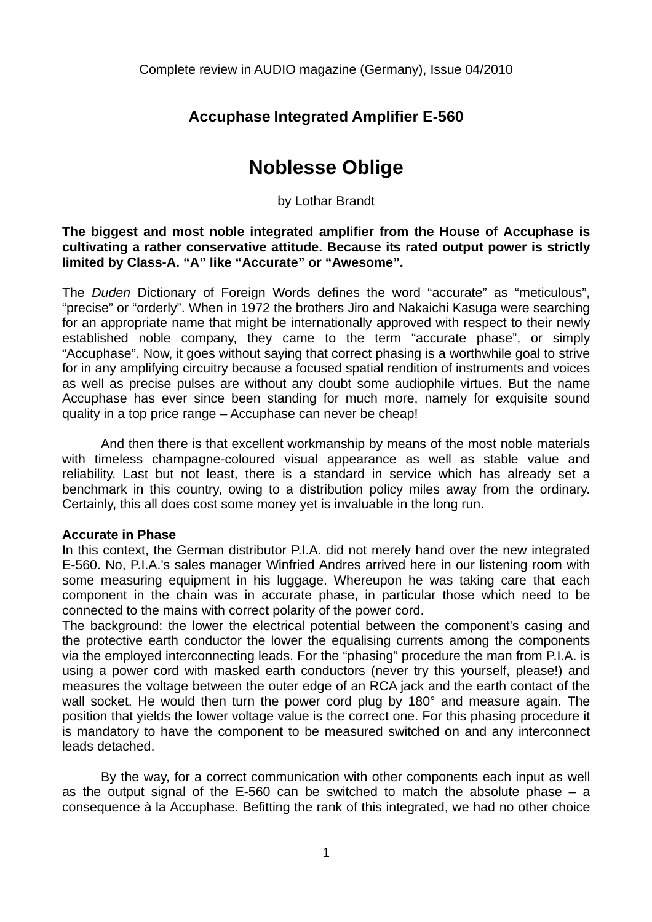## **Accuphase Integrated Amplifier E-560**

# **Noblesse Oblige**

by Lothar Brandt

**The biggest and most noble integrated amplifier from the House of Accuphase is cultivating a rather conservative attitude. Because its rated output power is strictly limited by Class-A. "A" like "Accurate" or "Awesome".** 

The *Duden* Dictionary of Foreign Words defines the word "accurate" as "meticulous", "precise" or "orderly". When in 1972 the brothers Jiro and Nakaichi Kasuga were searching for an appropriate name that might be internationally approved with respect to their newly established noble company, they came to the term "accurate phase", or simply "Accuphase". Now, it goes without saying that correct phasing is a worthwhile goal to strive for in any amplifying circuitry because a focused spatial rendition of instruments and voices as well as precise pulses are without any doubt some audiophile virtues. But the name Accuphase has ever since been standing for much more, namely for exquisite sound quality in a top price range – Accuphase can never be cheap!

 And then there is that excellent workmanship by means of the most noble materials with timeless champagne-coloured visual appearance as well as stable value and reliability. Last but not least, there is a standard in service which has already set a benchmark in this country, owing to a distribution policy miles away from the ordinary. Certainly, this all does cost some money yet is invaluable in the long run.

#### **Accurate in Phase**

In this context, the German distributor P.I.A. did not merely hand over the new integrated E-560. No, P.I.A.'s sales manager Winfried Andres arrived here in our listening room with some measuring equipment in his luggage. Whereupon he was taking care that each component in the chain was in accurate phase, in particular those which need to be connected to the mains with correct polarity of the power cord.

The background: the lower the electrical potential between the component's casing and the protective earth conductor the lower the equalising currents among the components via the employed interconnecting leads. For the "phasing" procedure the man from P.I.A. is using a power cord with masked earth conductors (never try this yourself, please!) and measures the voltage between the outer edge of an RCA jack and the earth contact of the wall socket. He would then turn the power cord plug by 180° and measure again. The position that yields the lower voltage value is the correct one. For this phasing procedure it is mandatory to have the component to be measured switched on and any interconnect leads detached.

 By the way, for a correct communication with other components each input as well as the output signal of the  $E$ -560 can be switched to match the absolute phase  $-$  a consequence à la Accuphase. Befitting the rank of this integrated, we had no other choice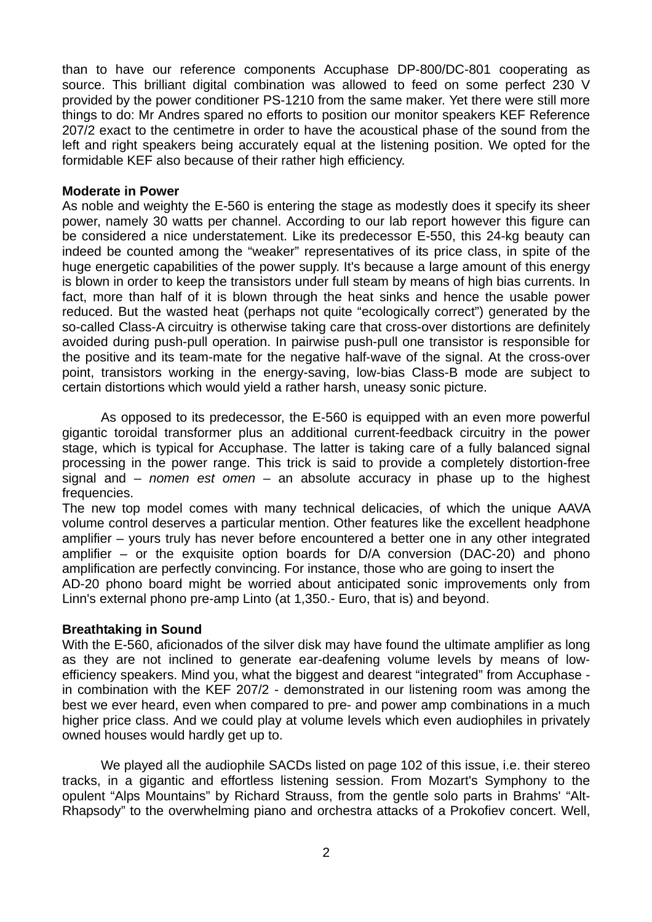than to have our reference components Accuphase DP-800/DC-801 cooperating as source. This brilliant digital combination was allowed to feed on some perfect 230 V provided by the power conditioner PS-1210 from the same maker. Yet there were still more things to do: Mr Andres spared no efforts to position our monitor speakers KEF Reference 207/2 exact to the centimetre in order to have the acoustical phase of the sound from the left and right speakers being accurately equal at the listening position. We opted for the formidable KEF also because of their rather high efficiency.

#### **Moderate in Power**

As noble and weighty the E-560 is entering the stage as modestly does it specify its sheer power, namely 30 watts per channel. According to our lab report however this figure can be considered a nice understatement. Like its predecessor E-550, this 24-kg beauty can indeed be counted among the "weaker" representatives of its price class, in spite of the huge energetic capabilities of the power supply. It's because a large amount of this energy is blown in order to keep the transistors under full steam by means of high bias currents. In fact, more than half of it is blown through the heat sinks and hence the usable power reduced. But the wasted heat (perhaps not quite "ecologically correct") generated by the so-called Class-A circuitry is otherwise taking care that cross-over distortions are definitely avoided during push-pull operation. In pairwise push-pull one transistor is responsible for the positive and its team-mate for the negative half-wave of the signal. At the cross-over point, transistors working in the energy-saving, low-bias Class-B mode are subject to certain distortions which would yield a rather harsh, uneasy sonic picture.

 As opposed to its predecessor, the E-560 is equipped with an even more powerful gigantic toroidal transformer plus an additional current-feedback circuitry in the power stage, which is typical for Accuphase. The latter is taking care of a fully balanced signal processing in the power range. This trick is said to provide a completely distortion-free signal and – *nomen est omen* – an absolute accuracy in phase up to the highest frequencies.

The new top model comes with many technical delicacies, of which the unique AAVA volume control deserves a particular mention. Other features like the excellent headphone amplifier – yours truly has never before encountered a better one in any other integrated amplifier – or the exquisite option boards for D/A conversion (DAC-20) and phono amplification are perfectly convincing. For instance, those who are going to insert the AD-20 phono board might be worried about anticipated sonic improvements only from Linn's external phono pre-amp Linto (at 1,350.- Euro, that is) and beyond.

### **Breathtaking in Sound**

With the E-560, aficionados of the silver disk may have found the ultimate amplifier as long as they are not inclined to generate ear-deafening volume levels by means of lowefficiency speakers. Mind you, what the biggest and dearest "integrated" from Accuphase in combination with the KEF 207/2 - demonstrated in our listening room was among the best we ever heard, even when compared to pre- and power amp combinations in a much higher price class. And we could play at volume levels which even audiophiles in privately owned houses would hardly get up to.

 We played all the audiophile SACDs listed on page 102 of this issue, i.e. their stereo tracks, in a gigantic and effortless listening session. From Mozart's Symphony to the opulent "Alps Mountains" by Richard Strauss, from the gentle solo parts in Brahms' "Alt-Rhapsody" to the overwhelming piano and orchestra attacks of a Prokofiev concert. Well,